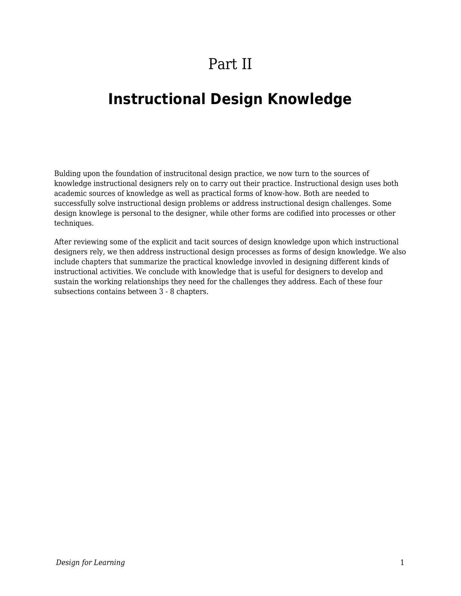## Part II

## **Instructional Design Knowledge**

Bulding upon the foundation of instrucitonal design practice, we now turn to the sources of knowledge instructional designers rely on to carry out their practice. Instructional design uses both academic sources of knowledge as well as practical forms of know-how. Both are needed to successfully solve instructional design problems or address instructional design challenges. Some design knowlege is personal to the designer, while other forms are codified into processes or other techniques.

After reviewing some of the explicit and tacit sources of design knowledge upon which instructional designers rely, we then address instructional design processes as forms of design knowledge. We also include chapters that summarize the practical knowledge invovled in designing different kinds of instructional activities. We conclude with knowledge that is useful for designers to develop and sustain the working relationships they need for the challenges they address. Each of these four subsections contains between 3 - 8 chapters.